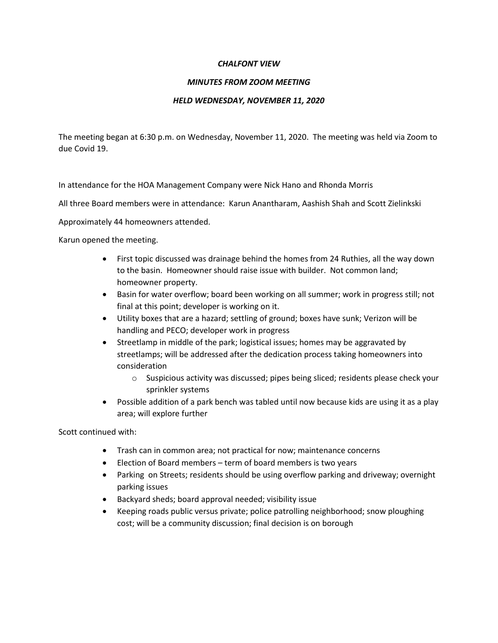## *CHALFONT VIEW*

## *MINUTES FROM ZOOM MEETING*

## *HELD WEDNESDAY, NOVEMBER 11, 2020*

The meeting began at 6:30 p.m. on Wednesday, November 11, 2020. The meeting was held via Zoom to due Covid 19.

In attendance for the HOA Management Company were Nick Hano and Rhonda Morris

All three Board members were in attendance: Karun Anantharam, Aashish Shah and Scott Zielinkski

Approximately 44 homeowners attended.

Karun opened the meeting.

- First topic discussed was drainage behind the homes from 24 Ruthies, all the way down to the basin. Homeowner should raise issue with builder. Not common land; homeowner property.
- Basin for water overflow; board been working on all summer; work in progress still; not final at this point; developer is working on it.
- Utility boxes that are a hazard; settling of ground; boxes have sunk; Verizon will be handling and PECO; developer work in progress
- Streetlamp in middle of the park; logistical issues; homes may be aggravated by streetlamps; will be addressed after the dedication process taking homeowners into consideration
	- o Suspicious activity was discussed; pipes being sliced; residents please check your sprinkler systems
- Possible addition of a park bench was tabled until now because kids are using it as a play area; will explore further

Scott continued with:

- Trash can in common area; not practical for now; maintenance concerns
- Election of Board members term of board members is two years
- Parking on Streets; residents should be using overflow parking and driveway; overnight parking issues
- Backyard sheds; board approval needed; visibility issue
- Keeping roads public versus private; police patrolling neighborhood; snow ploughing cost; will be a community discussion; final decision is on borough